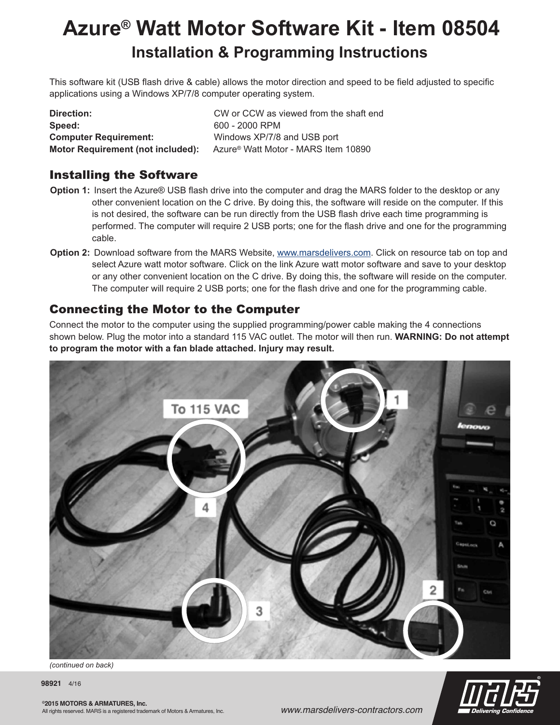## **Azure® Watt Motor Software Kit - Item 08504 Installation & Programming Instructions**

This software kit (USB flash drive & cable) allows the motor direction and speed to be field adjusted to specific applications using a Windows XP/7/8 computer operating system.

**Speed:** 600 - 2000 RPM **Computer Requirement:** Windows XP/7/8 and USB port

**Direction:** CW or CCW as viewed from the shaft end **Motor Requirement (not included):** Azure® Watt Motor - MARS Item 10890

## Installing the Software

- **Option 1:** Insert the Azure® USB flash drive into the computer and drag the MARS folder to the desktop or any other convenient location on the C drive. By doing this, the software will reside on the computer. If this is not desired, the software can be run directly from the USB flash drive each time programming is performed. The computer will require 2 USB ports; one for the flash drive and one for the programming cable.
- **Option 2:** Download software from the MARS Website, www.marsdelivers.com. Click on resource tab on top and select Azure watt motor software. Click on the link Azure watt motor software and save to your desktop or any other convenient location on the C drive. By doing this, the software will reside on the computer. The computer will require 2 USB ports; one for the flash drive and one for the programming cable.

## Connecting the Motor to the Computer

Connect the motor to the computer using the supplied programming/power cable making the 4 connections shown below. Plug the motor into a standard 115 VAC outlet. The motor will then run. **WARNING: Do not attempt to program the motor with a fan blade attached. Injury may result.**



*(continued on back)*

**98921** 4/16